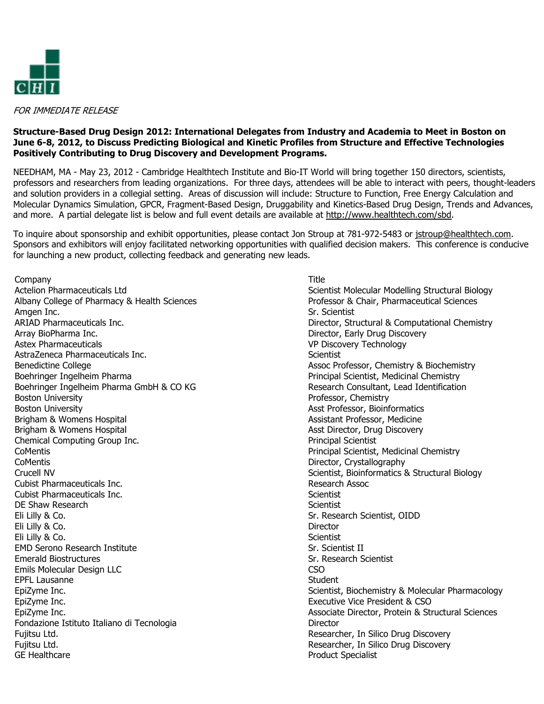

FOR IMMEDIATE RELEASE

## Structure-Based Drug Design 2012: International Delegates from Industry and Academia to Meet in Boston on June 6-8, 2012, to Discuss Predicting Biological and Kinetic Profiles from Structure and Effective Technologies Positively Contributing to Drug Discovery and Development Programs.

NEEDHAM, MA - May 23, 2012 - Cambridge Healthtech Institute and Bio-IT World will bring together 150 directors, scientists, professors and researchers from leading organizations. For three days, attendees will be able to interact with peers, thought-leaders and solution providers in a collegial setting. Areas of discussion will include: Structure to Function, Free Energy Calculation and Molecular Dynamics Simulation, GPCR, Fragment-Based Design, Druggability and Kinetics-Based Drug Design, Trends and Advances, and more. A partial delegate list is below and full event details are available at http://www.healthtech.com/sbd.

To inquire about sponsorship and exhibit opportunities, please contact Jon Stroup at 781-972-5483 or jstroup@healthtech.com. Sponsors and exhibitors will enjoy facilitated networking opportunities with qualified decision makers. This conference is conducive for launching a new product, collecting feedback and generating new leads.

Company Actelion Pharmaceuticals Ltd Albany College of Pharmacy & Health Sciences Amgen Inc. ARIAD Pharmaceuticals Inc. Array BioPharma Inc. Astex Pharmaceuticals AstraZeneca Pharmaceuticals Inc. Benedictine College Boehringer Ingelheim Pharma Boehringer Ingelheim Pharma GmbH & CO KG Boston University Boston University Brigham & Womens Hospital Brigham & Womens Hospital Chemical Computing Group Inc. CoMentis CoMentis Crucell NV Cubist Pharmaceuticals Inc. Cubist Pharmaceuticals Inc. DE Shaw Research Eli Lilly & Co. Eli Lilly & Co. Eli Lilly & Co. EMD Serono Research Institute Emerald Biostructures Emils Molecular Design LLC EPFL Lausanne EpiZyme Inc. EpiZyme Inc. EpiZyme Inc. Fondazione Istituto Italiano di Tecnologia Fujitsu Ltd. Fujitsu Ltd. GE Healthcare

Title

Scientist Molecular Modelling Structural Biology Professor & Chair, Pharmaceutical Sciences Sr. Scientist Director, Structural & Computational Chemistry Director, Early Drug Discovery VP Discovery Technology **Scientist** Assoc Professor, Chemistry & Biochemistry Principal Scientist, Medicinal Chemistry Research Consultant, Lead Identification Professor, Chemistry Asst Professor, Bioinformatics Assistant Professor, Medicine Asst Director, Drug Discovery Principal Scientist Principal Scientist, Medicinal Chemistry Director, Crystallography Scientist, Bioinformatics & Structural Biology Research Assoc **Scientist Scientist** Sr. Research Scientist, OIDD **Director Scientist** Sr. Scientist II Sr. Research Scientist CSO Student Scientist, Biochemistry & Molecular Pharmacology Executive Vice President & CSO Associate Director, Protein & Structural Sciences Director Researcher, In Silico Drug Discovery Researcher, In Silico Drug Discovery Product Specialist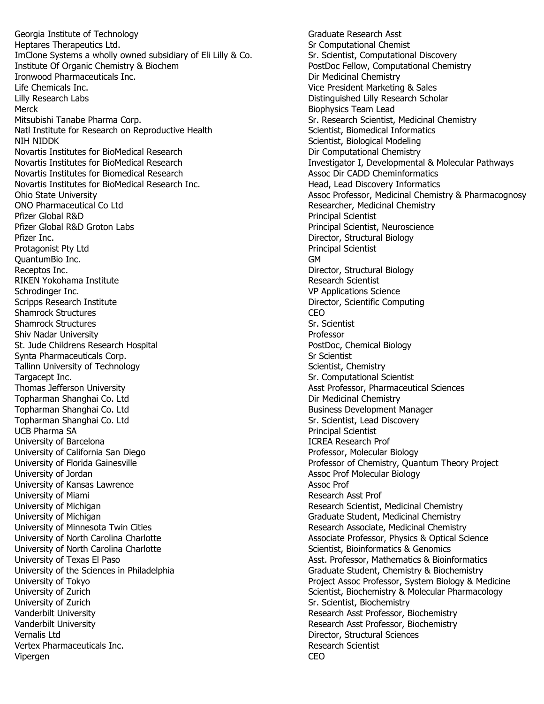Georgia Institute of Technology Heptares Therapeutics Ltd. ImClone Systems a wholly owned subsidiary of Eli Lilly & Co. Institute Of Organic Chemistry & Biochem Ironwood Pharmaceuticals Inc. Life Chemicals Inc. Lilly Research Labs **Merck** Mitsubishi Tanabe Pharma Corp. Natl Institute for Research on Reproductive Health NIH NIDDK Novartis Institutes for BioMedical Research Novartis Institutes for BioMedical Research Novartis Institutes for Biomedical Research Novartis Institutes for BioMedical Research Inc. Ohio State University ONO Pharmaceutical Co Ltd Pfizer Global R&D Pfizer Global R&D Groton Labs Pfizer Inc. Protagonist Pty Ltd QuantumBio Inc. Receptos Inc. RIKEN Yokohama Institute Schrodinger Inc. Scripps Research Institute Shamrock Structures Shamrock Structures Shiv Nadar University St. Jude Childrens Research Hospital Synta Pharmaceuticals Corp. Tallinn University of Technology Targacept Inc. Thomas Jefferson University Topharman Shanghai Co. Ltd Topharman Shanghai Co. Ltd Topharman Shanghai Co. Ltd UCB Pharma SA University of Barcelona University of California San Diego University of Florida Gainesville University of Jordan University of Kansas Lawrence University of Miami University of Michigan University of Michigan University of Minnesota Twin Cities University of North Carolina Charlotte University of North Carolina Charlotte University of Texas El Paso University of the Sciences in Philadelphia University of Tokyo University of Zurich University of Zurich Vanderbilt University Vanderbilt University Vernalis Ltd Vertex Pharmaceuticals Inc. Vipergen

Graduate Research Asst Sr Computational Chemist Sr. Scientist, Computational Discovery PostDoc Fellow, Computational Chemistry Dir Medicinal Chemistry Vice President Marketing & Sales Distinguished Lilly Research Scholar Biophysics Team Lead Sr. Research Scientist, Medicinal Chemistry Scientist, Biomedical Informatics Scientist, Biological Modeling Dir Computational Chemistry Investigator I, Developmental & Molecular Pathways Assoc Dir CADD Cheminformatics Head, Lead Discovery Informatics Assoc Professor, Medicinal Chemistry & Pharmacognosy Researcher, Medicinal Chemistry Principal Scientist Principal Scientist, Neuroscience Director, Structural Biology Principal Scientist GM Director, Structural Biology Research Scientist VP Applications Science Director, Scientific Computing CEO Sr. Scientist Professor PostDoc, Chemical Biology Sr Scientist Scientist, Chemistry Sr. Computational Scientist Asst Professor, Pharmaceutical Sciences Dir Medicinal Chemistry Business Development Manager Sr. Scientist, Lead Discovery Principal Scientist ICREA Research Prof Professor, Molecular Biology Professor of Chemistry, Quantum Theory Project Assoc Prof Molecular Biology Assoc Prof Research Asst Prof Research Scientist, Medicinal Chemistry Graduate Student, Medicinal Chemistry Research Associate, Medicinal Chemistry Associate Professor, Physics & Optical Science Scientist, Bioinformatics & Genomics Asst. Professor, Mathematics & Bioinformatics Graduate Student, Chemistry & Biochemistry Project Assoc Professor, System Biology & Medicine Scientist, Biochemistry & Molecular Pharmacology Sr. Scientist, Biochemistry Research Asst Professor, Biochemistry Research Asst Professor, Biochemistry Director, Structural Sciences Research Scientist CEO